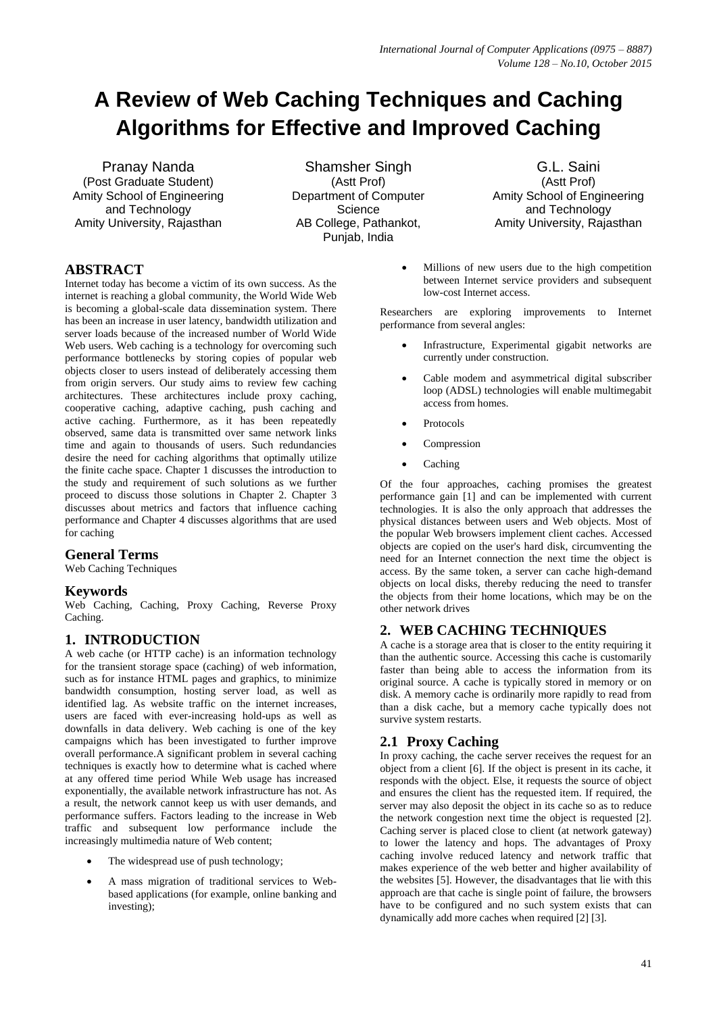# **A Review of Web Caching Techniques and Caching Algorithms for Effective and Improved Caching**

Pranay Nanda (Post Graduate Student) Amity School of Engineering and Technology Amity University, Rajasthan

Shamsher Singh (Astt Prof) Department of Computer **Science** AB College, Pathankot, Punjab, India

G.L. Saini (Astt Prof) Amity School of Engineering and Technology Amity University, Rajasthan

# **ABSTRACT**

Internet today has become a victim of its own success. As the internet is reaching a global community, the World Wide Web is becoming a global-scale data dissemination system. There has been an increase in user latency, bandwidth utilization and server loads because of the increased number of World Wide Web users. Web caching is a technology for overcoming such performance bottlenecks by storing copies of popular web objects closer to users instead of deliberately accessing them from origin servers. Our study aims to review few caching architectures. These architectures include proxy caching, cooperative caching, adaptive caching, push caching and active caching. Furthermore, as it has been repeatedly observed, same data is transmitted over same network links time and again to thousands of users. Such redundancies desire the need for caching algorithms that optimally utilize the finite cache space. Chapter 1 discusses the introduction to the study and requirement of such solutions as we further proceed to discuss those solutions in Chapter 2. Chapter 3 discusses about metrics and factors that influence caching performance and Chapter 4 discusses algorithms that are used for caching

# **General Terms**

Web Caching Techniques

# **Keywords**

Web Caching, Caching, Proxy Caching, Reverse Proxy Caching.

# **1. INTRODUCTION**

A web cache (or HTTP cache) is an information technology for the transient storage space (caching) of web information, such as for instance HTML pages and graphics, to minimize bandwidth consumption, hosting server load, as well as identified lag. As website traffic on the internet increases, users are faced with ever-increasing hold-ups as well as downfalls in data delivery. Web caching is one of the key campaigns which has been investigated to further improve overall performance.A significant problem in several caching techniques is exactly how to determine what is cached where at any offered time period While Web usage has increased exponentially, the available network infrastructure has not. As a result, the network cannot keep us with user demands, and performance suffers. Factors leading to the increase in Web traffic and subsequent low performance include the increasingly multimedia nature of Web content;

- The widespread use of push technology;
- A mass migration of traditional services to Webbased applications (for example, online banking and investing);

 Millions of new users due to the high competition between Internet service providers and subsequent low-cost Internet access.

Researchers are exploring improvements to Internet performance from several angles:

- Infrastructure, Experimental gigabit networks are currently under construction.
- Cable modem and asymmetrical digital subscriber loop (ADSL) technologies will enable multimegabit access from homes.
- Protocols
- Compression
- Caching

Of the four approaches, caching promises the greatest performance gain [1] and can be implemented with current technologies. It is also the only approach that addresses the physical distances between users and Web objects. Most of the popular Web browsers implement client caches. Accessed objects are copied on the user's hard disk, circumventing the need for an Internet connection the next time the object is access. By the same token, a server can cache high-demand objects on local disks, thereby reducing the need to transfer the objects from their home locations, which may be on the other network drives

# **2. WEB CACHING TECHNIQUES**

A cache is a storage area that is closer to the entity requiring it than the authentic source. Accessing this cache is customarily faster than being able to access the information from its original source. A cache is typically stored in memory or on disk. A memory cache is ordinarily more rapidly to read from than a disk cache, but a memory cache typically does not survive system restarts.

# **2.1 Proxy Caching**

In proxy caching, the cache server receives the request for an object from a client [6]. If the object is present in its cache, it responds with the object. Else, it requests the source of object and ensures the client has the requested item. If required, the server may also deposit the object in its cache so as to reduce the network congestion next time the object is requested [2]. Caching server is placed close to client (at network gateway) to lower the latency and hops. The advantages of Proxy caching involve reduced latency and network traffic that makes experience of the web better and higher availability of the websites [5]. However, the disadvantages that lie with this approach are that cache is single point of failure, the browsers have to be configured and no such system exists that can dynamically add more caches when required [2] [3].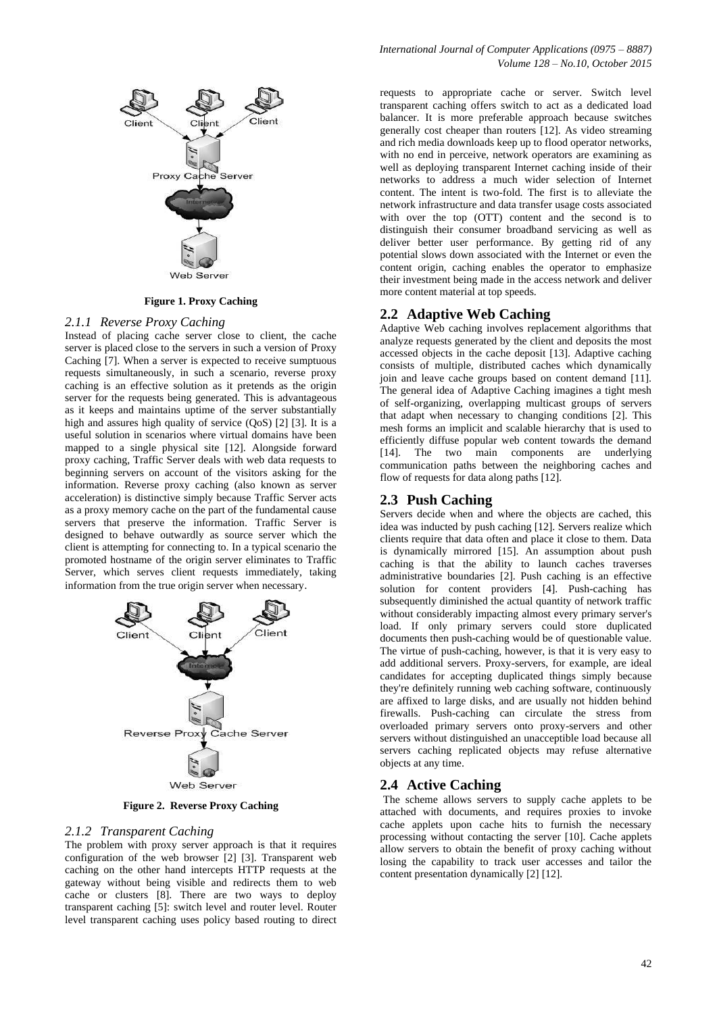

#### **Figure 1. Proxy Caching**

#### *2.1.1 Reverse Proxy Caching*

Instead of placing cache server close to client, the cache server is placed close to the servers in such a version of Proxy Caching [7]. When a server is expected to receive sumptuous requests simultaneously, in such a scenario, reverse proxy caching is an effective solution as it pretends as the origin server for the requests being generated. This is advantageous as it keeps and maintains uptime of the server substantially high and assures high quality of service (QoS) [2] [3]. It is a useful solution in scenarios where virtual domains have been mapped to a single physical site [12]. Alongside forward proxy caching, Traffic Server deals with web data requests to beginning servers on account of the visitors asking for the information. Reverse proxy caching (also known as server acceleration) is distinctive simply because Traffic Server acts as a proxy memory cache on the part of the fundamental cause servers that preserve the information. Traffic Server is designed to behave outwardly as source server which the client is attempting for connecting to. In a typical scenario the promoted hostname of the origin server eliminates to Traffic Server, which serves client requests immediately, taking information from the true origin server when necessary.



**Figure 2. Reverse Proxy Caching**

#### *2.1.2 Transparent Caching*

The problem with proxy server approach is that it requires configuration of the web browser [2] [3]. Transparent web caching on the other hand intercepts HTTP requests at the gateway without being visible and redirects them to web cache or clusters [8]. There are two ways to deploy transparent caching [5]: switch level and router level. Router level transparent caching uses policy based routing to direct requests to appropriate cache or server. Switch level transparent caching offers switch to act as a dedicated load balancer. It is more preferable approach because switches generally cost cheaper than routers [12]. As video streaming and rich media downloads keep up to flood operator networks, with no end in perceive, network operators are examining as well as deploying transparent Internet caching inside of their networks to address a much wider selection of Internet content. The intent is two-fold. The first is to alleviate the network infrastructure and data transfer usage costs associated with over the top (OTT) content and the second is to distinguish their consumer broadband servicing as well as deliver better user performance. By getting rid of any potential slows down associated with the Internet or even the content origin, caching enables the operator to emphasize their investment being made in the access network and deliver more content material at top speeds.

#### **2.2 Adaptive Web Caching**

Adaptive Web caching involves replacement algorithms that analyze requests generated by the client and deposits the most accessed objects in the cache deposit [13]. Adaptive caching consists of multiple, distributed caches which dynamically join and leave cache groups based on content demand [11]. The general idea of Adaptive Caching imagines a tight mesh of self-organizing, overlapping multicast groups of servers that adapt when necessary to changing conditions [2]. This mesh forms an implicit and scalable hierarchy that is used to efficiently diffuse popular web content towards the demand [14]. The two main components are underlying communication paths between the neighboring caches and flow of requests for data along paths [12].

#### **2.3 Push Caching**

Servers decide when and where the objects are cached, this idea was inducted by push caching [12]. Servers realize which clients require that data often and place it close to them. Data is dynamically mirrored [15]. An assumption about push caching is that the ability to launch caches traverses administrative boundaries [2]. Push caching is an effective solution for content providers [4]. Push-caching has subsequently diminished the actual quantity of network traffic without considerably impacting almost every primary server's load. If only primary servers could store duplicated documents then push-caching would be of questionable value. The virtue of push-caching, however, is that it is very easy to add additional servers. Proxy-servers, for example, are ideal candidates for accepting duplicated things simply because they're definitely running web caching software, continuously are affixed to large disks, and are usually not hidden behind firewalls. Push-caching can circulate the stress from overloaded primary servers onto proxy-servers and other servers without distinguished an unacceptible load because all servers caching replicated objects may refuse alternative objects at any time.

#### **2.4 Active Caching**

The scheme allows servers to supply cache applets to be attached with documents, and requires proxies to invoke cache applets upon cache hits to furnish the necessary processing without contacting the server [10]. Cache applets allow servers to obtain the benefit of proxy caching without losing the capability to track user accesses and tailor the content presentation dynamically [2] [12].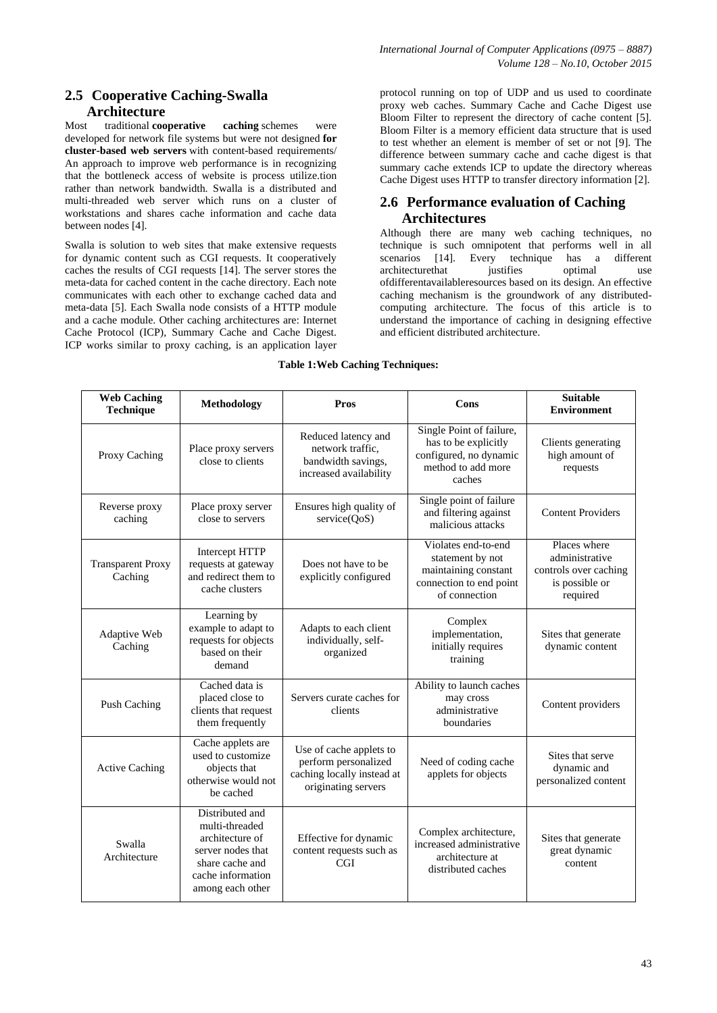# **2.5 Cooperative Caching-Swalla Architecture**

Most traditional **cooperative caching** schemes were developed for network file systems but were not designed **for cluster-based web servers** with content-based requirements/ An approach to improve web performance is in recognizing that the bottleneck access of website is process utilize.tion rather than network bandwidth. Swalla is a distributed and multi-threaded web server which runs on a cluster of workstations and shares cache information and cache data between nodes [4].

Swalla is solution to web sites that make extensive requests for dynamic content such as CGI requests. It cooperatively caches the results of CGI requests [14]. The server stores the meta-data for cached content in the cache directory. Each note communicates with each other to exchange cached data and meta-data [5]. Each Swalla node consists of a HTTP module and a cache module. Other caching architectures are: Internet Cache Protocol (ICP), Summary Cache and Cache Digest. ICP works similar to proxy caching, is an application layer

protocol running on top of UDP and us used to coordinate proxy web caches. Summary Cache and Cache Digest use Bloom Filter to represent the directory of cache content [5]. Bloom Filter is a memory efficient data structure that is used to test whether an element is member of set or not [9]. The difference between summary cache and cache digest is that summary cache extends ICP to update the directory whereas Cache Digest uses HTTP to transfer directory information [2].

# **2.6 Performance evaluation of Caching Architectures**

Although there are many web caching techniques, no technique is such omnipotent that performs well in all scenarios [14]. Every technique has a different architecturethat justifies optimal use ofdifferentavailableresources based on its design. An effective caching mechanism is the groundwork of any distributedcomputing architecture. The focus of this article is to understand the importance of caching in designing effective and efficient distributed architecture.

### **Table 1:Web Caching Techniques:**

| <b>Web Caching</b><br><b>Technique</b> | <b>Methodology</b>                                                                                                                    | Pros                                                                                                 | Cons                                                                                                        | <b>Suitable</b><br><b>Environment</b>                                                 |
|----------------------------------------|---------------------------------------------------------------------------------------------------------------------------------------|------------------------------------------------------------------------------------------------------|-------------------------------------------------------------------------------------------------------------|---------------------------------------------------------------------------------------|
| Proxy Caching                          | Place proxy servers<br>close to clients                                                                                               | Reduced latency and<br>network traffic.<br>bandwidth savings,<br>increased availability              | Single Point of failure,<br>has to be explicitly<br>configured, no dynamic<br>method to add more<br>caches  | Clients generating<br>high amount of<br>requests                                      |
| Reverse proxy<br>caching               | Place proxy server<br>close to servers                                                                                                | Ensures high quality of<br>service(QoS)                                                              | Single point of failure<br>and filtering against<br>malicious attacks                                       | <b>Content Providers</b>                                                              |
| <b>Transparent Proxy</b><br>Caching    | Intercept HTTP<br>requests at gateway<br>and redirect them to<br>cache clusters                                                       | Does not have to be<br>explicitly configured                                                         | Violates end-to-end<br>statement by not<br>maintaining constant<br>connection to end point<br>of connection | Places where<br>administrative<br>controls over caching<br>is possible or<br>required |
| Adaptive Web<br>Caching                | Learning by<br>example to adapt to<br>requests for objects<br>based on their<br>demand                                                | Adapts to each client<br>individually, self-<br>organized                                            | Complex<br>implementation,<br>initially requires<br>training                                                | Sites that generate<br>dynamic content                                                |
| Push Caching                           | Cached data is<br>placed close to<br>clients that request<br>them frequently                                                          | Servers curate caches for<br>clients                                                                 | Ability to launch caches<br>may cross<br>administrative<br>boundaries                                       | Content providers                                                                     |
| <b>Active Caching</b>                  | Cache applets are<br>used to customize<br>objects that<br>otherwise would not<br>be cached                                            | Use of cache applets to<br>perform personalized<br>caching locally instead at<br>originating servers | Need of coding cache<br>applets for objects                                                                 | Sites that serve<br>dynamic and<br>personalized content                               |
| Swalla<br>Architecture                 | Distributed and<br>multi-threaded<br>architecture of<br>server nodes that<br>share cache and<br>cache information<br>among each other | Effective for dynamic<br>content requests such as<br><b>CGI</b>                                      | Complex architecture,<br>increased administrative<br>architecture at<br>distributed caches                  | Sites that generate<br>great dynamic<br>content                                       |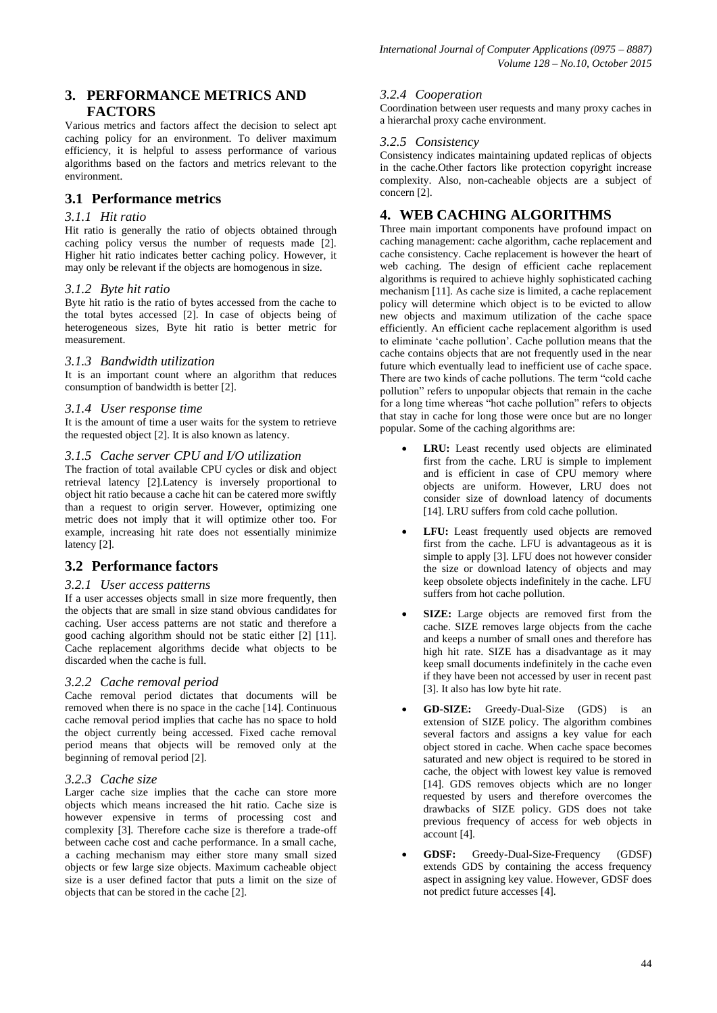# **3. PERFORMANCE METRICS AND FACTORS**

Various metrics and factors affect the decision to select apt caching policy for an environment. To deliver maximum efficiency, it is helpful to assess performance of various algorithms based on the factors and metrics relevant to the environment.

# **3.1 Performance metrics**

### *3.1.1 Hit ratio*

Hit ratio is generally the ratio of objects obtained through caching policy versus the number of requests made [2]. Higher hit ratio indicates better caching policy. However, it may only be relevant if the objects are homogenous in size.

## *3.1.2 Byte hit ratio*

Byte hit ratio is the ratio of bytes accessed from the cache to the total bytes accessed [2]. In case of objects being of heterogeneous sizes, Byte hit ratio is better metric for measurement.

### *3.1.3 Bandwidth utilization*

It is an important count where an algorithm that reduces consumption of bandwidth is better [2].

### *3.1.4 User response time*

It is the amount of time a user waits for the system to retrieve the requested object [2]. It is also known as latency.

### *3.1.5 Cache server CPU and I/O utilization*

The fraction of total available CPU cycles or disk and object retrieval latency [2].Latency is inversely proportional to object hit ratio because a cache hit can be catered more swiftly than a request to origin server. However, optimizing one metric does not imply that it will optimize other too. For example, increasing hit rate does not essentially minimize latency [2].

# **3.2 Performance factors**

### *3.2.1 User access patterns*

If a user accesses objects small in size more frequently, then the objects that are small in size stand obvious candidates for caching. User access patterns are not static and therefore a good caching algorithm should not be static either [2] [11]. Cache replacement algorithms decide what objects to be discarded when the cache is full.

### *3.2.2 Cache removal period*

Cache removal period dictates that documents will be removed when there is no space in the cache [14]. Continuous cache removal period implies that cache has no space to hold the object currently being accessed. Fixed cache removal period means that objects will be removed only at the beginning of removal period [2].

### *3.2.3 Cache size*

Larger cache size implies that the cache can store more objects which means increased the hit ratio. Cache size is however expensive in terms of processing cost and complexity [3]. Therefore cache size is therefore a trade-off between cache cost and cache performance. In a small cache, a caching mechanism may either store many small sized objects or few large size objects. Maximum cacheable object size is a user defined factor that puts a limit on the size of objects that can be stored in the cache [2].

## *3.2.4 Cooperation*

Coordination between user requests and many proxy caches in a hierarchal proxy cache environment.

### *3.2.5 Consistency*

Consistency indicates maintaining updated replicas of objects in the cache.Other factors like protection copyright increase complexity. Also, non-cacheable objects are a subject of concern [2].

# **4. WEB CACHING ALGORITHMS**

Three main important components have profound impact on caching management: cache algorithm, cache replacement and cache consistency. Cache replacement is however the heart of web caching. The design of efficient cache replacement algorithms is required to achieve highly sophisticated caching mechanism [11]. As cache size is limited, a cache replacement policy will determine which object is to be evicted to allow new objects and maximum utilization of the cache space efficiently. An efficient cache replacement algorithm is used to eliminate "cache pollution". Cache pollution means that the cache contains objects that are not frequently used in the near future which eventually lead to inefficient use of cache space. There are two kinds of cache pollutions. The term "cold cache pollution" refers to unpopular objects that remain in the cache for a long time whereas "hot cache pollution" refers to objects that stay in cache for long those were once but are no longer popular. Some of the caching algorithms are:

- **LRU:** Least recently used objects are eliminated first from the cache. LRU is simple to implement and is efficient in case of CPU memory where objects are uniform. However, LRU does not consider size of download latency of documents [14]. LRU suffers from cold cache pollution.
- **LFU:** Least frequently used objects are removed first from the cache. LFU is advantageous as it is simple to apply [3]. LFU does not however consider the size or download latency of objects and may keep obsolete objects indefinitely in the cache. LFU suffers from hot cache pollution.
- **SIZE:** Large objects are removed first from the cache. SIZE removes large objects from the cache and keeps a number of small ones and therefore has high hit rate. SIZE has a disadvantage as it may keep small documents indefinitely in the cache even if they have been not accessed by user in recent past [3]. It also has low byte hit rate.
- **GD-SIZE:** Greedy-Dual-Size (GDS) is an extension of SIZE policy. The algorithm combines several factors and assigns a key value for each object stored in cache. When cache space becomes saturated and new object is required to be stored in cache, the object with lowest key value is removed [14]. GDS removes objects which are no longer requested by users and therefore overcomes the drawbacks of SIZE policy. GDS does not take previous frequency of access for web objects in account [4].
- **GDSF:** Greedy-Dual-Size-Frequency (GDSF) extends GDS by containing the access frequency aspect in assigning key value. However, GDSF does not predict future accesses [4].